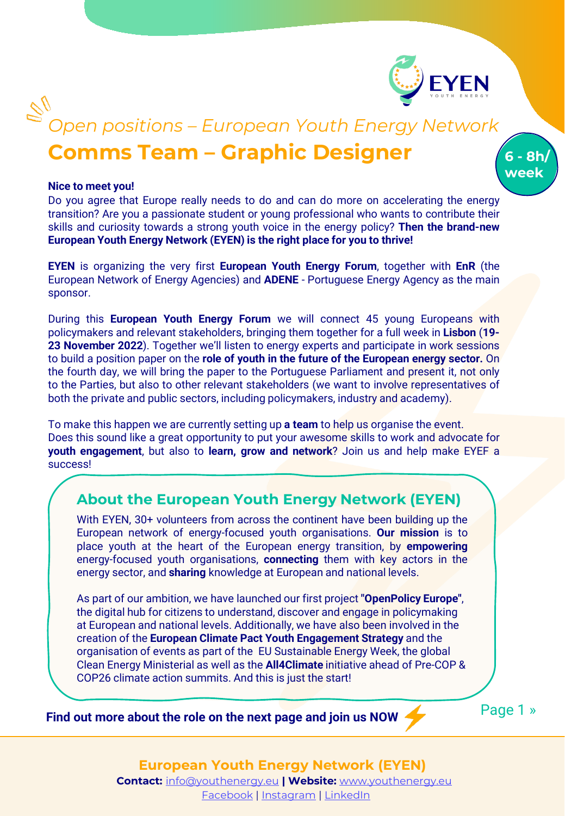

**6 - 8h/ week**

# **Comms Team – Graphic Designer** *Open positions – European Youth Energy Network*

#### **Nice to meet you!**

Do you agree that Europe really needs to do and can do more on accelerating the energy transition? Are you a passionate student or young professional who wants to contribute their skills and curiosity towards a strong youth voice in the energy policy? **Then the brand-new European Youth Energy Network (EYEN) is the right place for you to thrive!**

**EYEN** is organizing the very first **European Youth Energy Forum**, together with **EnR** (the European Network of Energy Agencies) and **ADENE** - Portuguese Energy Agency as the main sponsor.

During this **European Youth Energy Forum** we will connect 45 young Europeans with policymakers and relevant stakeholders, bringing them together for a full week in **Lisbon** (**19- 23 November 2022**). Together we'll listen to energy experts and participate in work sessions to build a position paper on the **role of youth in the future of the European energy sector.** On the fourth day, we will bring the paper to the Portuguese Parliament and present it, not only to the Parties, but also to other relevant stakeholders (we want to involve representatives of both the private and public sectors, including policymakers, industry and academy).

To make this happen we are currently setting up **a team** to help us organise the event. Does this sound like a great opportunity to put your awesome skills to work and advocate for **youth engagement**, but also to **learn, grow and network**? Join us and help make EYEF a success!

#### **About the European Youth Energy Network (EYEN)**

With EYEN, 30+ volunteers from across the continent have been building up the European network of energy-focused youth organisations. **Our mission** is to place youth at the heart of the European energy transition, by **empowering** energy-focused youth organisations, **connecting** them with key actors in the energy sector, and **sharing** knowledge at European and national levels.

As part of our ambition, we have launched our first project **"OpenPolicy Europe"**, the digital hub for citizens to understand, discover and engage in policymaking at European and national levels. Additionally, we have also been involved in the creation of the **European Climate Pact Youth Engagement Strategy** and the organisation of events as part of the EU Sustainable Energy Week, the global Clean Energy Ministerial as well as the **All4Climate** initiative ahead of Pre-COP & COP26 climate action summits. And this is just the start!

**Find out more about the role on the next page and join us NOW** 

Page 1 »

**European Youth Energy Network (EYEN) Contact:** [info@youthenergy.eu](mailto:info@youthenergy.eu) **| Website:** [www.youthenergy.eu](http://www.youthenergy.eu/)

[Facebook](https://www.facebook.com/EYENYouthEnergy) | [Instagram](https://www.instagram.com/eyen_youthenergy/) | [LinkedIn](https://www.linkedin.com/company/eyenyouthenergy/)